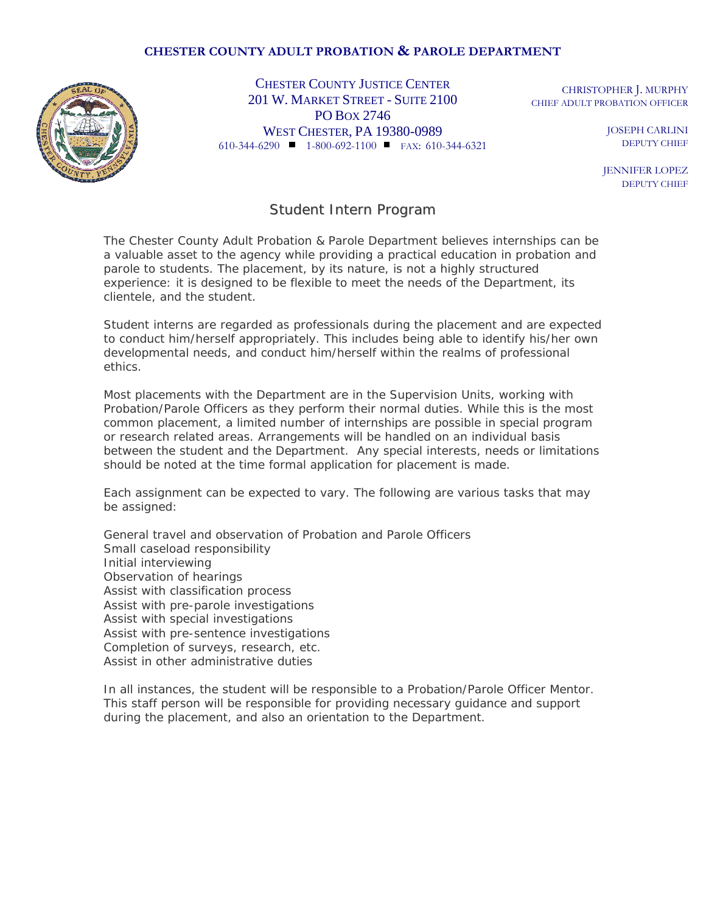## **CHESTER COUNTY ADULT PROBATION & PAROLE DEPARTMENT**



CHESTER COUNTY JUSTICE CENTER CHRISTOPHER L. MURPHY 201 W. MARKET STREET - SUITE 2100 PO BOX 2746 WEST CHESTER, PA 19380-0989 610-344-6290 1-800-692-1100 FAX:610-344-6321

CHIEF ADULT PROBATION OFFICER

JOSEPH CARLINI DEPUTY CHIEF

JENNIFER LOPEZ DEPUTY CHIEF

## Student Intern Program

The Chester County Adult Probation & Parole Department believes internships can be a valuable asset to the agency while providing a practical education in probation and parole to students. The placement, by its nature, is not a highly structured experience: it is designed to be flexible to meet the needs of the Department, its clientele, and the student.

Student interns are regarded as professionals during the placement and are expected to conduct him/herself appropriately. This includes being able to identify his/her own developmental needs, and conduct him/herself within the realms of professional ethics.

Most placements with the Department are in the Supervision Units, working with Probation/Parole Officers as they perform their normal duties. While this is the most common placement, a limited number of internships are possible in special program or research related areas. Arrangements will be handled on an individual basis between the student and the Department. Any special interests, needs or limitations should be noted at the time formal application for placement is made.

Each assignment can be expected to vary. The following are various tasks that may be assigned:

General travel and observation of Probation and Parole Officers Small caseload responsibility Initial interviewing Observation of hearings Assist with classification process Assist with pre-parole investigations Assist with special investigations Assist with pre-sentence investigations Completion of surveys, research, etc. Assist in other administrative duties

In all instances, the student will be responsible to a Probation/Parole Officer Mentor. This staff person will be responsible for providing necessary guidance and support during the placement, and also an orientation to the Department.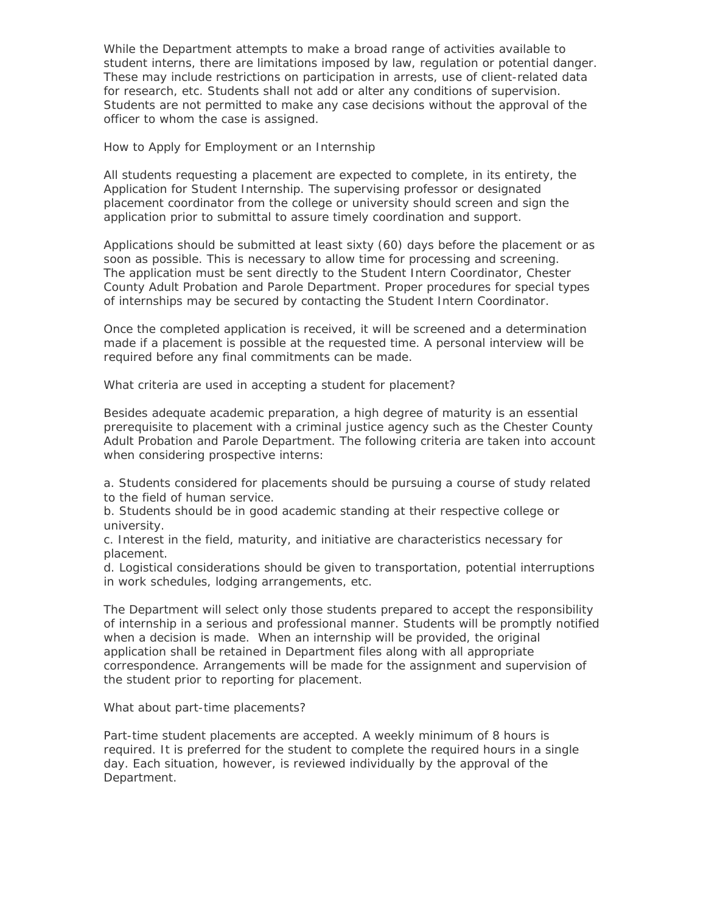While the Department attempts to make a broad range of activities available to student interns, there are limitations imposed by law, regulation or potential danger. These may include restrictions on participation in arrests, use of client-related data for research, etc. Students shall not add or alter any conditions of supervision. Students are not permitted to make any case decisions without the approval of the officer to whom the case is assigned.

How to Apply for Employment or an Internship

All students requesting a placement are expected to complete, in its entirety, the Application for Student Internship. The supervising professor or designated placement coordinator from the college or university should screen and sign the application prior to submittal to assure timely coordination and support.

Applications should be submitted at least sixty (60) days before the placement or as soon as possible. This is necessary to allow time for processing and screening. The application must be sent directly to the Student Intern Coordinator, Chester County Adult Probation and Parole Department. Proper procedures for special types of internships may be secured by contacting the Student Intern Coordinator.

Once the completed application is received, it will be screened and a determination made if a placement is possible at the requested time. A personal interview will be required before any final commitments can be made.

What criteria are used in accepting a student for placement?

Besides adequate academic preparation, a high degree of maturity is an essential prerequisite to placement with a criminal justice agency such as the Chester County Adult Probation and Parole Department. The following criteria are taken into account when considering prospective interns:

a. Students considered for placements should be pursuing a course of study related to the field of human service.

b. Students should be in good academic standing at their respective college or university.

c. Interest in the field, maturity, and initiative are characteristics necessary for placement.

d. Logistical considerations should be given to transportation, potential interruptions in work schedules, lodging arrangements, etc.

The Department will select only those students prepared to accept the responsibility of internship in a serious and professional manner. Students will be promptly notified when a decision is made. When an internship will be provided, the original application shall be retained in Department files along with all appropriate correspondence. Arrangements will be made for the assignment and supervision of the student prior to reporting for placement.

What about part-time placements?

Part-time student placements are accepted. A weekly minimum of 8 hours is required. It is preferred for the student to complete the required hours in a single day. Each situation, however, is reviewed individually by the approval of the Department.